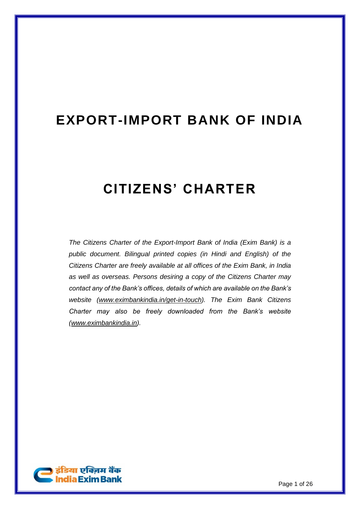# **EXPORT-IMPORT BANK OF INDIA**

# **CITIZENS' CHARTER**

*The Citizens Charter of the Export-Import Bank of India (Exim Bank) is a public document. Bilingual printed copies (in Hindi and English) of the Citizens Charter are freely available at all offices of the Exim Bank, in India as well as overseas. Persons desiring a copy of the Citizens Charter may contact any of the Bank's offices, details of which are available on the Bank's website [\(www.eximbankindia.in/get-in-touch\)](https://www.eximbankindia.in/get-in-touch). The Exim Bank Citizens Charter may also be freely downloaded from the Bank's website [\(www.eximbankindia.in\)](https://www.eximbankindia.in/assets/pdf/public-declarations/citizencharter.pdf).* 

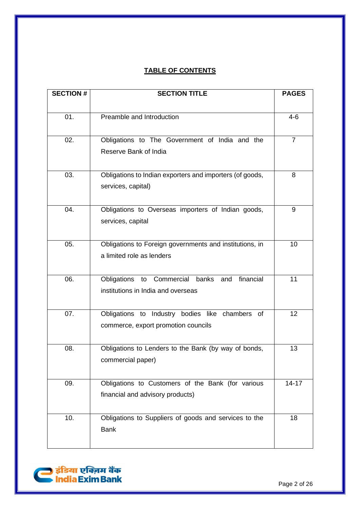# **TABLE OF CONTENTS**

| <b>SECTION #</b> | <b>SECTION TITLE</b>                                                                   | <b>PAGES</b>   |
|------------------|----------------------------------------------------------------------------------------|----------------|
| 01.              | Preamble and Introduction                                                              | $4 - 6$        |
| 02.              | Obligations to The Government of India and the<br>Reserve Bank of India                | $\overline{7}$ |
| 03.              | Obligations to Indian exporters and importers (of goods,<br>services, capital)         | 8              |
| 04.              | Obligations to Overseas importers of Indian goods,<br>services, capital                | 9              |
| 05.              | Obligations to Foreign governments and institutions, in<br>a limited role as lenders   | 10             |
| 06.              | Obligations to Commercial banks and<br>financial<br>institutions in India and overseas | 11             |
| 07.              | Obligations to Industry bodies like chambers of<br>commerce, export promotion councils | 12             |
| 08.              | Obligations to Lenders to the Bank (by way of bonds,<br>commercial paper)              | 13             |
| 09.              | Obligations to Customers of the Bank (for various<br>financial and advisory products)  | $14 - 17$      |
| 10.              | Obligations to Suppliers of goods and services to the<br><b>Bank</b>                   | 18             |

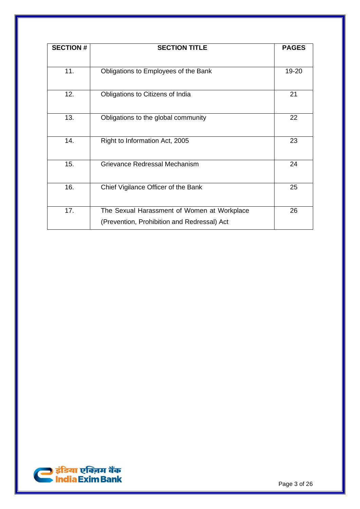| <b>SECTION #</b> | <b>SECTION TITLE</b>                        | <b>PAGES</b> |
|------------------|---------------------------------------------|--------------|
|                  |                                             |              |
| 11.              | Obligations to Employees of the Bank        | 19-20        |
| 12.              | Obligations to Citizens of India            | 21           |
|                  |                                             |              |
| 13.              | Obligations to the global community         | 22           |
| 14.              | Right to Information Act, 2005              | 23           |
| 15.              | Grievance Redressal Mechanism               | 24           |
| 16.              | Chief Vigilance Officer of the Bank         | 25           |
| 17.              | The Sexual Harassment of Women at Workplace | 26           |
|                  | (Prevention, Prohibition and Redressal) Act |              |

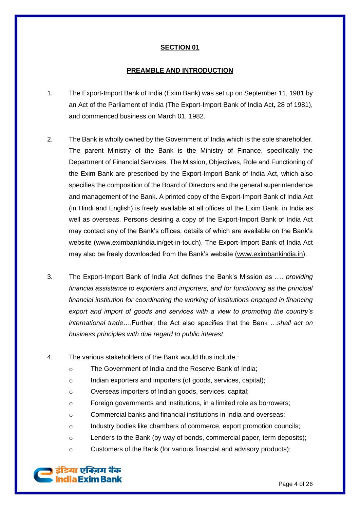#### **PREAMBLE AND INTRODUCTION**

- 1. The Export-Import Bank of India (Exim Bank) was set up on September 11, 1981 by an Act of the Parliament of India (The Export-Import Bank of India Act, 28 of 1981), and commenced business on March 01, 1982.
- 2. The Bank is wholly owned by the Government of India which is the sole shareholder. The parent Ministry of the Bank is the Ministry of Finance, specifically the Department of Financial Services. The Mission, Objectives, Role and Functioning of the Exim Bank are prescribed by the Export-Import Bank of India Act, which also specifies the composition of the Board of Directors and the general superintendence and management of the Bank. A printed copy of the Export-Import Bank of India Act (in Hindi and English) is freely available at all offices of the Exim Bank, in India as well as overseas. Persons desiring a copy of the Export-Import Bank of India Act may contact any of the Bank's offices, details of which are available on the Bank's website [\(www.eximbankindia.in/get-in-touch\)](http://www.eximbankindia.in/get-in-touch). The Export-Import Bank of India Act may also be freely downloaded from the Bank's website [\(www.eximbankindia.in\)](https://www.eximbankindia.in/assets/pdf/public-declarations/exim-bank-act.pdf).
- 3. The Export-Import Bank of India Act defines the Bank's Mission as …. *providing financial assistance to exporters and importers, and for functioning as the principal financial institution for coordinating the working of institutions engaged in financing export and import of goods and services with a view to promoting the country's international trade*….Further, the Act also specifies that the Bank …*shall act on business principles with due regard to public interest*.
- 4. The various stakeholders of the Bank would thus include :
	- o The Government of India and the Reserve Bank of India;
	- o Indian exporters and importers (of goods, services, capital);
	- o Overseas importers of Indian goods, services, capital;
	- o Foreign governments and institutions, in a limited role as borrowers;
	- o Commercial banks and financial institutions in India and overseas;
	- o Industry bodies like chambers of commerce, export promotion councils;
	- o Lenders to the Bank (by way of bonds, commercial paper, term deposits);
	- o Customers of the Bank (for various financial and advisory products);

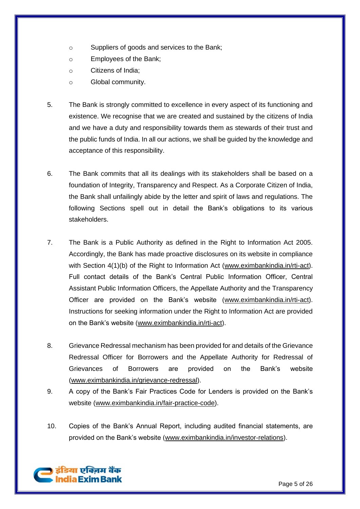- o Suppliers of goods and services to the Bank;
- o Employees of the Bank;
- o Citizens of India;
- o Global community.
- 5. The Bank is strongly committed to excellence in every aspect of its functioning and existence. We recognise that we are created and sustained by the citizens of India and we have a duty and responsibility towards them as stewards of their trust and the public funds of India. In all our actions, we shall be guided by the knowledge and acceptance of this responsibility.
- 6. The Bank commits that all its dealings with its stakeholders shall be based on a foundation of Integrity, Transparency and Respect. As a Corporate Citizen of India, the Bank shall unfailingly abide by the letter and spirit of laws and regulations. The following Sections spell out in detail the Bank's obligations to its various stakeholders.
- 7. The Bank is a Public Authority as defined in the Right to Information Act 2005. Accordingly, the Bank has made proactive disclosures on its website in compliance with Section 4(1)(b) of the Right to Information Act [\(www.eximbankindia.in/rti-act\)](http://www.eximbankindia.in/rti-act). Full contact details of the Bank's Central Public Information Officer, Central Assistant Public Information Officers, the Appellate Authority and the Transparency Officer are provided on the Bank's website [\(www.eximbankindia.in/rti-act\)](http://www.eximbankindia.in/rti-act). Instructions for seeking information under the Right to Information Act are provided on the Bank's website [\(www.eximbankindia.in/rti-act\)](http://www.eximbankindia.in/rti-act).
- 8. Grievance Redressal mechanism has been provided for and details of the Grievance Redressal Officer for Borrowers and the Appellate Authority for Redressal of Grievances of Borrowers are provided on the Bank's website [\(www.eximbankindia.in/grievance-redressal\)](https://www.eximbankindia.in/grievance-redressal).
- 9. A copy of the Bank's Fair Practices Code for Lenders is provided on the Bank's website [\(www.eximbankindia.in/fair-practice-code\)](https://www.eximbankindia.in/fair-practice-code).
- 10. Copies of the Bank's Annual Report, including audited financial statements, are provided on the Bank's website [\(www.eximbankindia.in/investor-relations\)](http://www.eximbankindia.in/%20investor-relations).

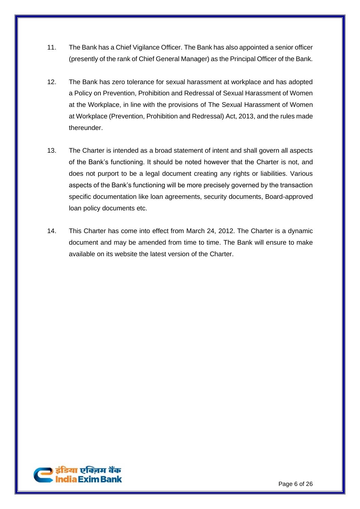- 11. The Bank has a Chief Vigilance Officer. The Bank has also appointed a senior officer (presently of the rank of Chief General Manager) as the Principal Officer of the Bank.
- 12. The Bank has zero tolerance for sexual harassment at workplace and has adopted a Policy on Prevention, Prohibition and Redressal of Sexual Harassment of Women at the Workplace, in line with the provisions of The Sexual Harassment of Women at Workplace (Prevention, Prohibition and Redressal) Act, 2013, and the rules made thereunder.
- 13. The Charter is intended as a broad statement of intent and shall govern all aspects of the Bank's functioning. It should be noted however that the Charter is not, and does not purport to be a legal document creating any rights or liabilities. Various aspects of the Bank's functioning will be more precisely governed by the transaction specific documentation like loan agreements, security documents, Board-approved loan policy documents etc.
- 14. This Charter has come into effect from March 24, 2012. The Charter is a dynamic document and may be amended from time to time. The Bank will ensure to make available on its website the latest version of the Charter.

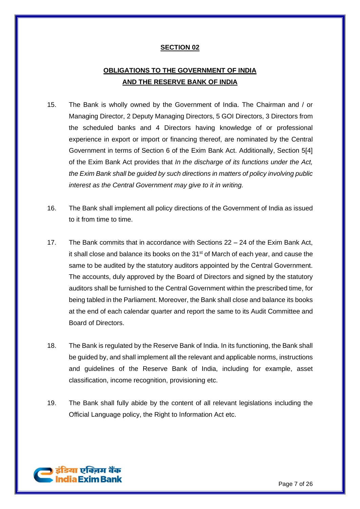# **OBLIGATIONS TO THE GOVERNMENT OF INDIA AND THE RESERVE BANK OF INDIA**

- 15. The Bank is wholly owned by the Government of India. The Chairman and / or Managing Director, 2 Deputy Managing Directors, 5 GOI Directors, 3 Directors from the scheduled banks and 4 Directors having knowledge of or professional experience in export or import or financing thereof, are nominated by the Central Government in terms of Section 6 of the Exim Bank Act. Additionally, Section 5[4] of the Exim Bank Act provides that *In the discharge of its functions under the Act, the Exim Bank shall be guided by such directions in matters of policy involving public interest as the Central Government may give to it in writing.*
- 16. The Bank shall implement all policy directions of the Government of India as issued to it from time to time.
- 17. The Bank commits that in accordance with Sections 22 24 of the Exim Bank Act, it shall close and balance its books on the 31<sup>st</sup> of March of each year, and cause the same to be audited by the statutory auditors appointed by the Central Government. The accounts, duly approved by the Board of Directors and signed by the statutory auditors shall be furnished to the Central Government within the prescribed time, for being tabled in the Parliament. Moreover, the Bank shall close and balance its books at the end of each calendar quarter and report the same to its Audit Committee and Board of Directors.
- 18. The Bank is regulated by the Reserve Bank of India. In its functioning, the Bank shall be guided by, and shall implement all the relevant and applicable norms, instructions and guidelines of the Reserve Bank of India, including for example, asset classification, income recognition, provisioning etc.
- 19. The Bank shall fully abide by the content of all relevant legislations including the Official Language policy, the Right to Information Act etc.

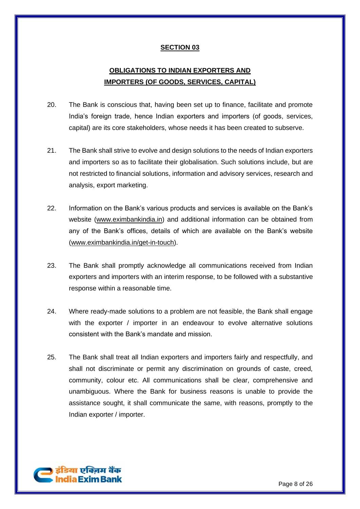# **OBLIGATIONS TO INDIAN EXPORTERS AND IMPORTERS (OF GOODS, SERVICES, CAPITAL)**

- 20. The Bank is conscious that, having been set up to finance, facilitate and promote India's foreign trade, hence Indian exporters and importers (of goods, services, capital) are its core stakeholders, whose needs it has been created to subserve.
- 21. The Bank shall strive to evolve and design solutions to the needs of Indian exporters and importers so as to facilitate their globalisation. Such solutions include, but are not restricted to financial solutions, information and advisory services, research and analysis, export marketing.
- 22. Information on the Bank's various products and services is available on the Bank's website [\(www.eximbankindia.in\)](http://www.eximbankindia.in/) and additional information can be obtained from any of the Bank's offices, details of which are available on the Bank's website [\(www.eximbankindia.in/get-in-touch\)](https://www.eximbankindia.in/get-in-touch).
- 23. The Bank shall promptly acknowledge all communications received from Indian exporters and importers with an interim response, to be followed with a substantive response within a reasonable time.
- 24. Where ready-made solutions to a problem are not feasible, the Bank shall engage with the exporter / importer in an endeavour to evolve alternative solutions consistent with the Bank's mandate and mission.
- 25. The Bank shall treat all Indian exporters and importers fairly and respectfully, and shall not discriminate or permit any discrimination on grounds of caste, creed, community, colour etc. All communications shall be clear, comprehensive and unambiguous. Where the Bank for business reasons is unable to provide the assistance sought, it shall communicate the same, with reasons, promptly to the Indian exporter / importer.

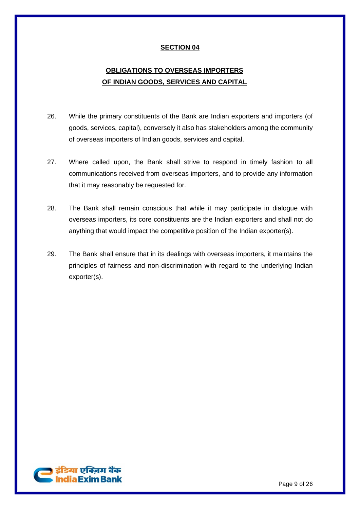# **OBLIGATIONS TO OVERSEAS IMPORTERS OF INDIAN GOODS, SERVICES AND CAPITAL**

- 26. While the primary constituents of the Bank are Indian exporters and importers (of goods, services, capital), conversely it also has stakeholders among the community of overseas importers of Indian goods, services and capital.
- 27. Where called upon, the Bank shall strive to respond in timely fashion to all communications received from overseas importers, and to provide any information that it may reasonably be requested for.
- 28. The Bank shall remain conscious that while it may participate in dialogue with overseas importers, its core constituents are the Indian exporters and shall not do anything that would impact the competitive position of the Indian exporter(s).
- 29. The Bank shall ensure that in its dealings with overseas importers, it maintains the principles of fairness and non-discrimination with regard to the underlying Indian exporter(s).

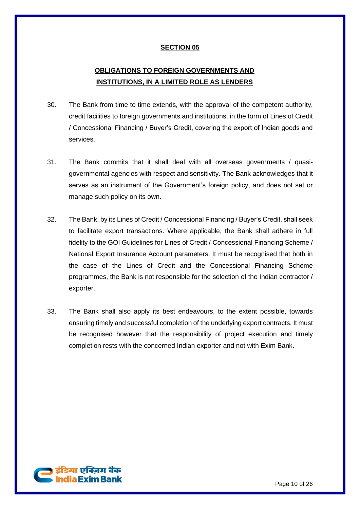# **OBLIGATIONS TO FOREIGN GOVERNMENTS AND INSTITUTIONS, IN A LIMITED ROLE AS LENDERS**

- 30. The Bank from time to time extends, with the approval of the competent authority, credit facilities to foreign governments and institutions, in the form of Lines of Credit / Concessional Financing / Buyer's Credit, covering the export of Indian goods and services.
- 31. The Bank commits that it shall deal with all overseas governments / quasigovernmental agencies with respect and sensitivity. The Bank acknowledges that it serves as an instrument of the Government's foreign policy, and does not set or manage such policy on its own.
- 32. The Bank, by its Lines of Credit / Concessional Financing / Buyer's Credit, shall seek to facilitate export transactions. Where applicable, the Bank shall adhere in full fidelity to the GOI Guidelines for Lines of Credit / Concessional Financing Scheme / National Export Insurance Account parameters. It must be recognised that both in the case of the Lines of Credit and the Concessional Financing Scheme programmes, the Bank is not responsible for the selection of the Indian contractor / exporter.
- 33. The Bank shall also apply its best endeavours, to the extent possible, towards ensuring timely and successful completion of the underlying export contracts. It must be recognised however that the responsibility of project execution and timely completion rests with the concerned Indian exporter and not with Exim Bank.

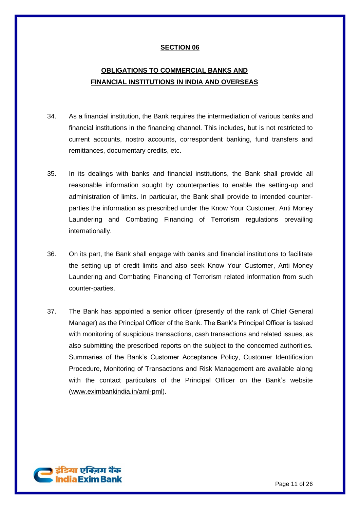# **OBLIGATIONS TO COMMERCIAL BANKS AND FINANCIAL INSTITUTIONS IN INDIA AND OVERSEAS**

- 34. As a financial institution, the Bank requires the intermediation of various banks and financial institutions in the financing channel. This includes, but is not restricted to current accounts, nostro accounts, correspondent banking, fund transfers and remittances, documentary credits, etc.
- 35. In its dealings with banks and financial institutions, the Bank shall provide all reasonable information sought by counterparties to enable the setting-up and administration of limits. In particular, the Bank shall provide to intended counterparties the information as prescribed under the Know Your Customer, Anti Money Laundering and Combating Financing of Terrorism regulations prevailing internationally.
- 36. On its part, the Bank shall engage with banks and financial institutions to facilitate the setting up of credit limits and also seek Know Your Customer, Anti Money Laundering and Combating Financing of Terrorism related information from such counter-parties.
- 37. The Bank has appointed a senior officer (presently of the rank of Chief General Manager) as the Principal Officer of the Bank. The Bank's Principal Officer is tasked with monitoring of suspicious transactions, cash transactions and related issues, as also submitting the prescribed reports on the subject to the concerned authorities. Summaries of the Bank's Customer Acceptance Policy, Customer Identification Procedure, Monitoring of Transactions and Risk Management are available along with the contact particulars of the Principal Officer on the Bank's website [\(www.eximbankindia.in/aml-pml\)](http://www.eximbankindia.in/aml-pml).

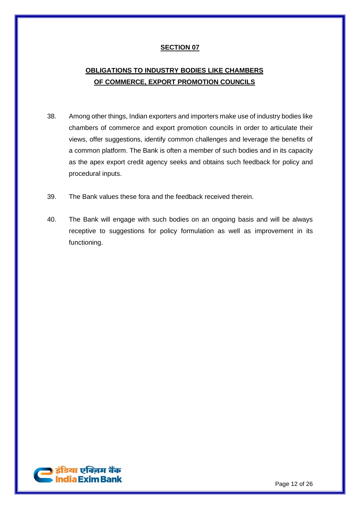# **OBLIGATIONS TO INDUSTRY BODIES LIKE CHAMBERS OF COMMERCE, EXPORT PROMOTION COUNCILS**

- 38. Among other things, Indian exporters and importers make use of industry bodies like chambers of commerce and export promotion councils in order to articulate their views, offer suggestions, identify common challenges and leverage the benefits of a common platform. The Bank is often a member of such bodies and in its capacity as the apex export credit agency seeks and obtains such feedback for policy and procedural inputs.
- 39. The Bank values these fora and the feedback received therein.
- 40. The Bank will engage with such bodies on an ongoing basis and will be always receptive to suggestions for policy formulation as well as improvement in its functioning.

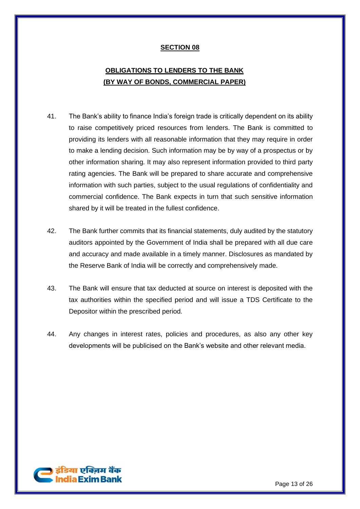# **OBLIGATIONS TO LENDERS TO THE BANK (BY WAY OF BONDS, COMMERCIAL PAPER)**

- 41. The Bank's ability to finance India's foreign trade is critically dependent on its ability to raise competitively priced resources from lenders. The Bank is committed to providing its lenders with all reasonable information that they may require in order to make a lending decision. Such information may be by way of a prospectus or by other information sharing. It may also represent information provided to third party rating agencies. The Bank will be prepared to share accurate and comprehensive information with such parties, subject to the usual regulations of confidentiality and commercial confidence. The Bank expects in turn that such sensitive information shared by it will be treated in the fullest confidence.
- 42. The Bank further commits that its financial statements, duly audited by the statutory auditors appointed by the Government of India shall be prepared with all due care and accuracy and made available in a timely manner. Disclosures as mandated by the Reserve Bank of India will be correctly and comprehensively made.
- 43. The Bank will ensure that tax deducted at source on interest is deposited with the tax authorities within the specified period and will issue a TDS Certificate to the Depositor within the prescribed period.
- 44. Any changes in interest rates, policies and procedures, as also any other key developments will be publicised on the Bank's website and other relevant media.

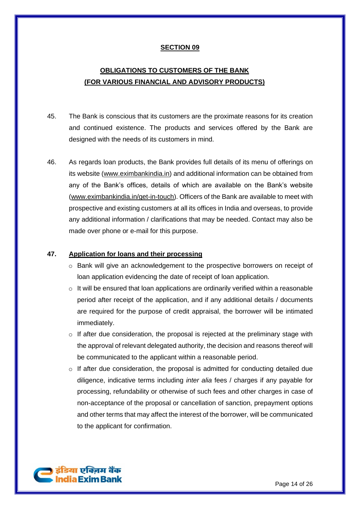# **OBLIGATIONS TO CUSTOMERS OF THE BANK (FOR VARIOUS FINANCIAL AND ADVISORY PRODUCTS)**

- 45. The Bank is conscious that its customers are the proximate reasons for its creation and continued existence. The products and services offered by the Bank are designed with the needs of its customers in mind.
- 46. As regards loan products, the Bank provides full details of its menu of offerings on its website [\(www.eximbankindia.in\)](http://www.eximbankindia.in/) and additional information can be obtained from any of the Bank's offices, details of which are available on the Bank's website [\(www.eximbankindia.in/get-in-touch\)](http://www.eximbankindia.in/get-in-touch). Officers of the Bank are available to meet with prospective and existing customers at all its offices in India and overseas, to provide any additional information / clarifications that may be needed. Contact may also be made over phone or e-mail for this purpose.

#### **47. Application for loans and their processing**

- o Bank will give an acknowledgement to the prospective borrowers on receipt of loan application evidencing the date of receipt of loan application.
- $\circ$  It will be ensured that loan applications are ordinarily verified within a reasonable period after receipt of the application, and if any additional details / documents are required for the purpose of credit appraisal, the borrower will be intimated immediately.
- $\circ$  If after due consideration, the proposal is rejected at the preliminary stage with the approval of relevant delegated authority, the decision and reasons thereof will be communicated to the applicant within a reasonable period.
- $\circ$  If after due consideration, the proposal is admitted for conducting detailed due diligence, indicative terms including *inter alia* fees / charges if any payable for processing, refundability or otherwise of such fees and other charges in case of non-acceptance of the proposal or cancellation of sanction, prepayment options and other terms that may affect the interest of the borrower, will be communicated to the applicant for confirmation.

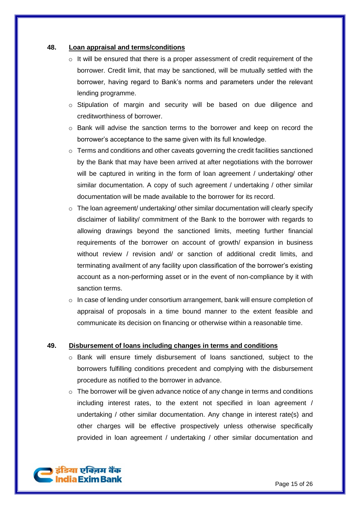#### **48. Loan appraisal and terms/conditions**

- $\circ$  It will be ensured that there is a proper assessment of credit requirement of the borrower. Credit limit, that may be sanctioned, will be mutually settled with the borrower, having regard to Bank's norms and parameters under the relevant lending programme.
- $\circ$  Stipulation of margin and security will be based on due diligence and creditworthiness of borrower.
- o Bank will advise the sanction terms to the borrower and keep on record the borrower's acceptance to the same given with its full knowledge.
- $\circ$  Terms and conditions and other caveats governing the credit facilities sanctioned by the Bank that may have been arrived at after negotiations with the borrower will be captured in writing in the form of loan agreement / undertaking/ other similar documentation. A copy of such agreement / undertaking / other similar documentation will be made available to the borrower for its record.
- $\circ$  The loan agreement/ undertaking/ other similar documentation will clearly specify disclaimer of liability/ commitment of the Bank to the borrower with regards to allowing drawings beyond the sanctioned limits, meeting further financial requirements of the borrower on account of growth/ expansion in business without review / revision and/ or sanction of additional credit limits, and terminating availment of any facility upon classification of the borrower's existing account as a non-performing asset or in the event of non-compliance by it with sanction terms.
- $\circ$  In case of lending under consortium arrangement, bank will ensure completion of appraisal of proposals in a time bound manner to the extent feasible and communicate its decision on financing or otherwise within a reasonable time.

#### **49. Disbursement of loans including changes in terms and conditions**

- o Bank will ensure timely disbursement of loans sanctioned, subject to the borrowers fulfilling conditions precedent and complying with the disbursement procedure as notified to the borrower in advance.
- $\circ$  The borrower will be given advance notice of any change in terms and conditions including interest rates, to the extent not specified in loan agreement / undertaking / other similar documentation. Any change in interest rate(s) and other charges will be effective prospectively unless otherwise specifically provided in loan agreement / undertaking / other similar documentation and

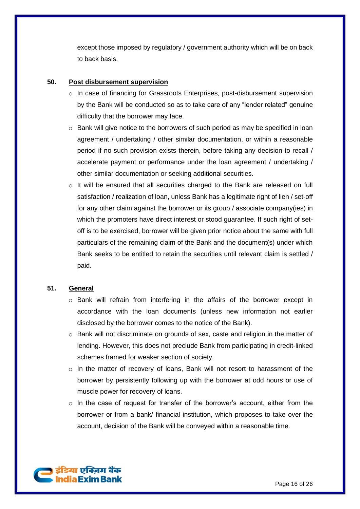except those imposed by regulatory / government authority which will be on back to back basis.

#### **50. Post disbursement supervision**

- $\circ$  In case of financing for Grassroots Enterprises, post-disbursement supervision by the Bank will be conducted so as to take care of any "lender related" genuine difficulty that the borrower may face.
- o Bank will give notice to the borrowers of such period as may be specified in loan agreement / undertaking / other similar documentation, or within a reasonable period if no such provision exists therein, before taking any decision to recall / accelerate payment or performance under the loan agreement / undertaking / other similar documentation or seeking additional securities.
- o It will be ensured that all securities charged to the Bank are released on full satisfaction / realization of loan, unless Bank has a legitimate right of lien / set-off for any other claim against the borrower or its group / associate company(ies) in which the promoters have direct interest or stood guarantee. If such right of setoff is to be exercised, borrower will be given prior notice about the same with full particulars of the remaining claim of the Bank and the document(s) under which Bank seeks to be entitled to retain the securities until relevant claim is settled / paid.

## **51. General**

- o Bank will refrain from interfering in the affairs of the borrower except in accordance with the loan documents (unless new information not earlier disclosed by the borrower comes to the notice of the Bank).
- $\circ$  Bank will not discriminate on grounds of sex, caste and religion in the matter of lending. However, this does not preclude Bank from participating in credit-linked schemes framed for weaker section of society.
- $\circ$  In the matter of recovery of loans, Bank will not resort to harassment of the borrower by persistently following up with the borrower at odd hours or use of muscle power for recovery of loans.
- $\circ$  In the case of request for transfer of the borrower's account, either from the borrower or from a bank/ financial institution, which proposes to take over the account, decision of the Bank will be conveyed within a reasonable time.

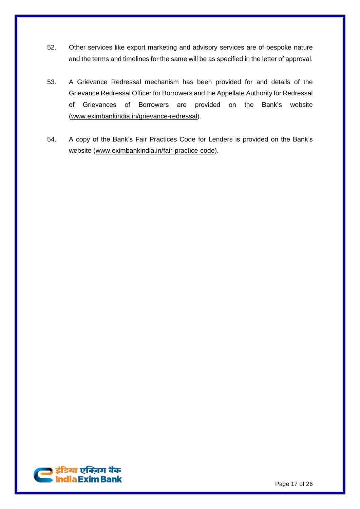- 52. Other services like export marketing and advisory services are of bespoke nature and the terms and timelines for the same will be as specified in the letter of approval.
- 53. A Grievance Redressal mechanism has been provided for and details of the Grievance Redressal Officer for Borrowers and the Appellate Authority for Redressal of Grievances of Borrowers are provided on the Bank's website [\(www.eximbankindia.in/grievance-redressal\)](https://www.eximbankindia.in/grievance-redressal).
- 54. A copy of the Bank's Fair Practices Code for Lenders is provided on the Bank's website [\(www.eximbankindia.in/fair-practice-code\)](https://www.eximbankindia.in/fair-practice-code).

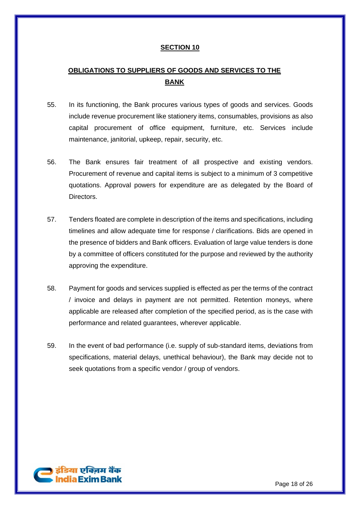# **OBLIGATIONS TO SUPPLIERS OF GOODS AND SERVICES TO THE BANK**

- 55. In its functioning, the Bank procures various types of goods and services. Goods include revenue procurement like stationery items, consumables, provisions as also capital procurement of office equipment, furniture, etc. Services include maintenance, janitorial, upkeep, repair, security, etc.
- 56. The Bank ensures fair treatment of all prospective and existing vendors. Procurement of revenue and capital items is subject to a minimum of 3 competitive quotations. Approval powers for expenditure are as delegated by the Board of Directors.
- 57. Tenders floated are complete in description of the items and specifications, including timelines and allow adequate time for response / clarifications. Bids are opened in the presence of bidders and Bank officers. Evaluation of large value tenders is done by a committee of officers constituted for the purpose and reviewed by the authority approving the expenditure.
- 58. Payment for goods and services supplied is effected as per the terms of the contract / invoice and delays in payment are not permitted. Retention moneys, where applicable are released after completion of the specified period, as is the case with performance and related guarantees, wherever applicable.
- 59. In the event of bad performance (i.e. supply of sub-standard items, deviations from specifications, material delays, unethical behaviour), the Bank may decide not to seek quotations from a specific vendor / group of vendors.

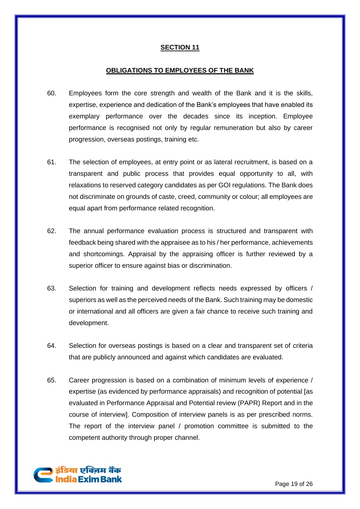#### **OBLIGATIONS TO EMPLOYEES OF THE BANK**

- 60. Employees form the core strength and wealth of the Bank and it is the skills, expertise, experience and dedication of the Bank's employees that have enabled its exemplary performance over the decades since its inception. Employee performance is recognised not only by regular remuneration but also by career progression, overseas postings, training etc.
- 61. The selection of employees, at entry point or as lateral recruitment, is based on a transparent and public process that provides equal opportunity to all, with relaxations to reserved category candidates as per GOI regulations. The Bank does not discriminate on grounds of caste, creed, community or colour; all employees are equal apart from performance related recognition.
- 62. The annual performance evaluation process is structured and transparent with feedback being shared with the appraisee as to his / her performance, achievements and shortcomings. Appraisal by the appraising officer is further reviewed by a superior officer to ensure against bias or discrimination.
- 63. Selection for training and development reflects needs expressed by officers / superiors as well as the perceived needs of the Bank. Such training may be domestic or international and all officers are given a fair chance to receive such training and development.
- 64. Selection for overseas postings is based on a clear and transparent set of criteria that are publicly announced and against which candidates are evaluated.
- 65. Career progression is based on a combination of minimum levels of experience / expertise (as evidenced by performance appraisals) and recognition of potential [as evaluated in Performance Appraisal and Potential review (PAPR) Report and in the course of interview]. Composition of interview panels is as per prescribed norms. The report of the interview panel / promotion committee is submitted to the competent authority through proper channel.

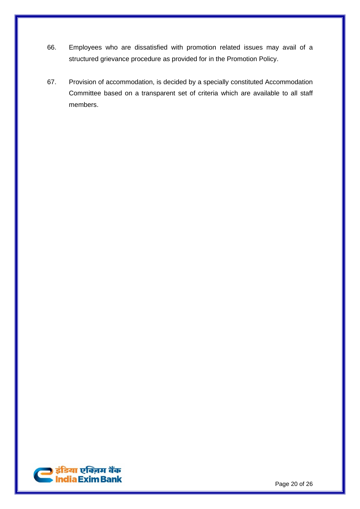- 66. Employees who are dissatisfied with promotion related issues may avail of a structured grievance procedure as provided for in the Promotion Policy.
- 67. Provision of accommodation, is decided by a specially constituted Accommodation Committee based on a transparent set of criteria which are available to all staff members.

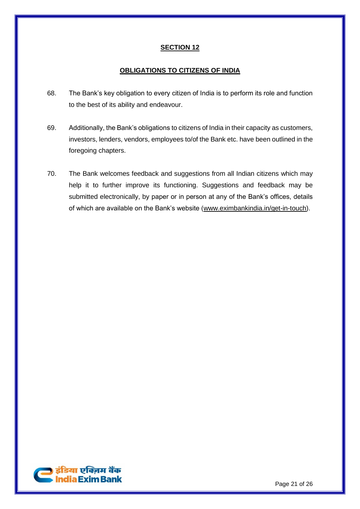# **OBLIGATIONS TO CITIZENS OF INDIA**

- 68. The Bank's key obligation to every citizen of India is to perform its role and function to the best of its ability and endeavour.
- 69. Additionally, the Bank's obligations to citizens of India in their capacity as customers, investors, lenders, vendors, employees to/of the Bank etc. have been outlined in the foregoing chapters.
- 70. The Bank welcomes feedback and suggestions from all Indian citizens which may help it to further improve its functioning. Suggestions and feedback may be submitted electronically, by paper or in person at any of the Bank's offices, details of which are available on the Bank's website [\(www.eximbankindia.in/get-in-touch\)](http://www.eximbankindia.in/get-in-touch).

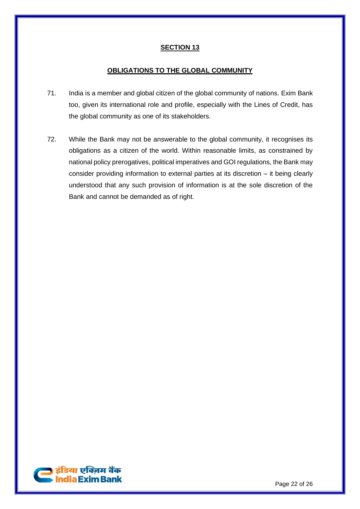#### **OBLIGATIONS TO THE GLOBAL COMMUNITY**

- 71. India is a member and global citizen of the global community of nations. Exim Bank too, given its international role and profile, especially with the Lines of Credit, has the global community as one of its stakeholders.
- 72. While the Bank may not be answerable to the global community, it recognises its obligations as a citizen of the world. Within reasonable limits, as constrained by national policy prerogatives, political imperatives and GOI regulations, the Bank may consider providing information to external parties at its discretion – it being clearly understood that any such provision of information is at the sole discretion of the Bank and cannot be demanded as of right.

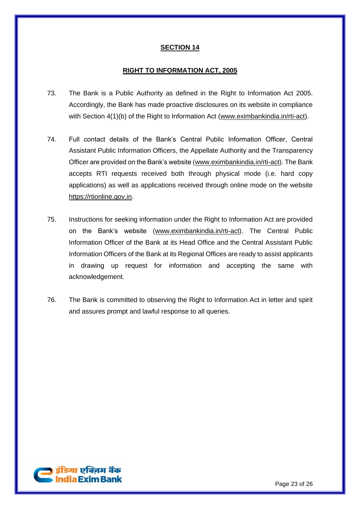### **RIGHT TO INFORMATION ACT, 2005**

- 73. The Bank is a Public Authority as defined in the Right to Information Act 2005. Accordingly, the Bank has made proactive disclosures on its website in compliance with Section 4(1)(b) of the Right to Information Act [\(www.eximbankindia.in/rti-act\)](http://www.eximbankindia.in/rti-act).
- 74. Full contact details of the Bank's Central Public Information Officer, Central Assistant Public Information Officers, the Appellate Authority and the Transparency Officer are provided on the Bank's website [\(www.eximbankindia.in/rti-act\)](http://www.eximbankindia.in/rti-act). The Bank accepts RTI requests received both through physical mode (i.e. hard copy applications) as well as applications received through online mode on the website [https://rtionline.gov.in.](https://rtionline.gov.in/)
- 75. Instructions for seeking information under the Right to Information Act are provided on the Bank's website [\(www.eximbankindia.in/rti-act\)](http://www.eximbankindia.in/rti-act). The Central Public Information Officer of the Bank at its Head Office and the Central Assistant Public Information Officers of the Bank at its Regional Offices are ready to assist applicants in drawing up request for information and accepting the same with acknowledgement.
- 76. The Bank is committed to observing the Right to Information Act in letter and spirit and assures prompt and lawful response to all queries.

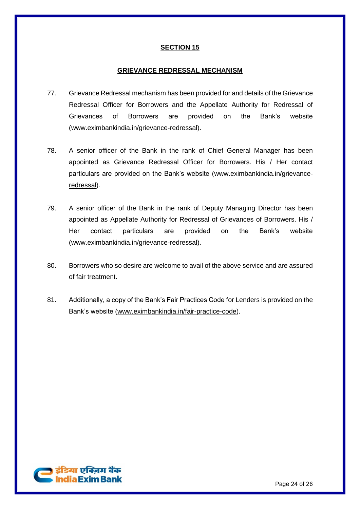#### **GRIEVANCE REDRESSAL MECHANISM**

- 77. Grievance Redressal mechanism has been provided for and details of the Grievance Redressal Officer for Borrowers and the Appellate Authority for Redressal of Grievances of Borrowers are provided on the Bank's website [\(www.eximbankindia.in/grievance-redressal\)](http://www.eximbankindia.in/grievances).
- 78. A senior officer of the Bank in the rank of Chief General Manager has been appointed as Grievance Redressal Officer for Borrowers. His / Her contact particulars are provided on the Bank's website [\(www.eximbankindia.in/grievance](https://www.eximbankindia.in/grievance-redressal)[redressal\)](https://www.eximbankindia.in/grievance-redressal).
- 79. A senior officer of the Bank in the rank of Deputy Managing Director has been appointed as Appellate Authority for Redressal of Grievances of Borrowers. His / Her contact particulars are provided on the Bank's website [\(www.eximbankindia.in/grievance-redressal\)](https://www.eximbankindia.in/grievance-redressal).
- 80. Borrowers who so desire are welcome to avail of the above service and are assured of fair treatment.
- 81. Additionally, a copy of the Bank's Fair Practices Code for Lenders is provided on the Bank's website [\(www.eximbankindia.in/fair-practice-code\)](https://www.eximbankindia.in/fair-practice-code).

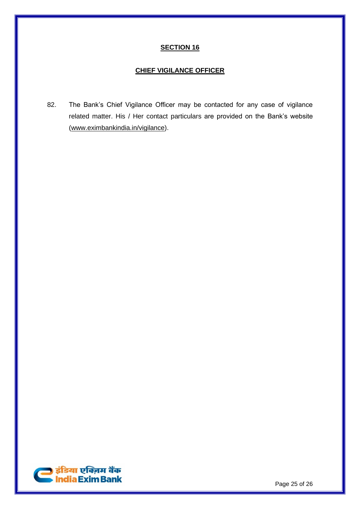### **CHIEF VIGILANCE OFFICER**

82. The Bank's Chief Vigilance Officer may be contacted for any case of vigilance related matter. His / Her contact particulars are provided on the Bank's website [\(www.eximbankindia.in/vigilance\)](http://www.eximbankindia.in/vigilance).